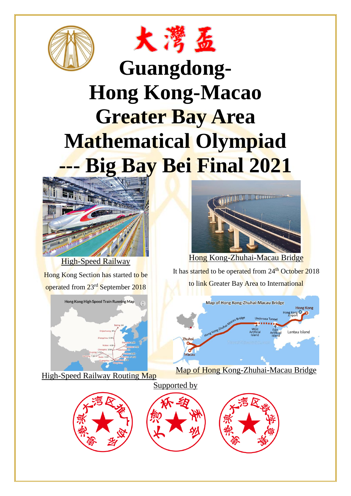



## **Guangdong-Hong Kong-Macao Greater Bay Area Mathematical Olympiad Big Bay Bei Final 2021**



High-Speed Railway Hong Kong Section has started to be

operated from 23rd September 2018



High-Speed Railway Routing Map



It has started to be operated from 24<sup>th</sup> October 2018 to link Greater Bay Area to International



Map of Hong Kong-Zhuhai-Macau Bridge





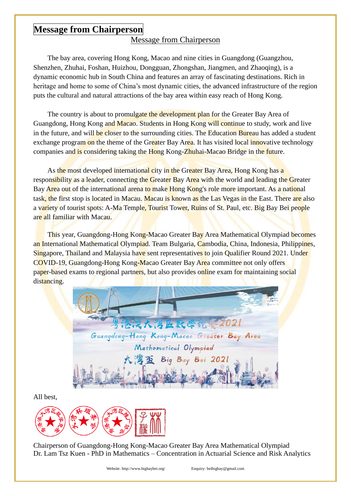## **Message from Chairperson**

## Message from Chairperson

The bay area, covering Hong Kong, Macao and nine cities in Guangdong (Guangzhou, Shenzhen, Zhuhai, Foshan, Huizhou, Dongguan, Zhongshan, Jiangmen, and Zhaoqing), is a dynamic economic hub in South China and features an array of fascinating destinations. Rich in heritage and home to some of China's most dynamic cities, the advanced infrastructure of the region puts the cultural and natural attractions of the bay area within easy reach of Hong Kong.

The country is about to promulgate the development plan for the Greater Bay Area of Guangdong, Hong Kong and Macao. Students in Hong Kong will continue to study, work and live in the future, and will be closer to the surrounding cities. The Education Bureau has added a student exchange program on the theme of the Greater Bay Area. It has visited local innovative technology companies and is considering taking the Hong Kong-Zhuhai-Macao Bridge in the future.

As the most developed international city in the Greater Bay Area, Hong Kong has a responsibility as a leader, connecting the Greater Bay Area with the world and leading the Greater Bay Area out of the international arena to make Hong Kong's role more important. As a national task, the first stop is located in Macau. Macau is known as the Las Vegas in the East. There are also a variety of tourist spots: A-Ma Temple, Tourist Tower, Ruins of St. Paul, etc. Big Bay Bei people are all familiar with Macau.

This year, Guangdong-Hong Kong-Macao Greater Bay Area Mathematical Olympiad becomes an International Mathematical Olympiad. Team Bulgaria, Cambodia, China, Indonesia, Philippines, Singapore, Thailand and Malaysia have sent representatives to join Qualifier Round 2021. Under COVID-19, Guangdong-Hong Kong-Macao Greater Bay Area committee not only offers paper-based exams to regional partners, but also provides online exam for maintaining social distancing.

港澳大湾區數學統 2021 Guangdong-Hong Kong-Macao Greater Bay Area Mathematical Olympiad Big Bay Bei 2021

All best,



Chairperson of Guangdong-Hong Kong-Macao Greater Bay Area Mathematical Olympiad Dr. Lam Tsz Kuen - PhD in Mathematics – Concentration in Actuarial Science and Risk Analytics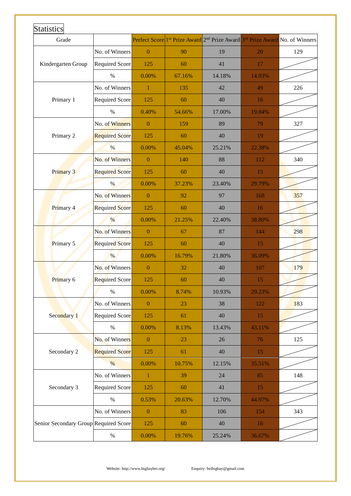| Grade                                 |                       |                |        | Perfect Score 1 <sup>st</sup> Prize Award 2 <sup>nd</sup> Prize Award <sup>3rd</sup> Prize Award No. of Winners |        |     |
|---------------------------------------|-----------------------|----------------|--------|-----------------------------------------------------------------------------------------------------------------|--------|-----|
| Kindergarten Group                    | No. of Winners        | $\overline{0}$ | 90     | 19                                                                                                              | 20     | 129 |
|                                       | <b>Required Score</b> | 125            | 60     | 41                                                                                                              | 17     |     |
|                                       | $\%$                  | 0.00%          | 67.16% | 14.18%                                                                                                          | 14.93% |     |
| Primary 1                             | No. of Winners        | $\mathbf{1}$   | 135    | 42                                                                                                              | 49     | 226 |
|                                       | Required Score        | 125            | 60     | 40                                                                                                              | 16     |     |
|                                       | $\%$                  | 0.40%          | 54.66% | 17.00%                                                                                                          | 19.84% |     |
| Primary 2                             | No. of Winners        | $\overline{0}$ | 159    | 89                                                                                                              | 79     | 327 |
|                                       | <b>Required Score</b> | 125            | 60     | 40                                                                                                              | 19     |     |
|                                       | $\%$                  | 0.00%          | 45.04% | 25.21%                                                                                                          | 22.38% |     |
| Primary 3                             | No. of Winners        | $\overline{0}$ | 140    | 88                                                                                                              | 112    | 340 |
|                                       | <b>Required Score</b> | 125            | 60     | 40                                                                                                              | 15     |     |
|                                       | %                     | 0.00%          | 37.23% | 23.40%                                                                                                          | 29.79% |     |
| Primary 4                             | No. of Winners        | $\overline{0}$ | 92     | 97                                                                                                              | 168    | 357 |
|                                       | <b>Required Score</b> | 125            | 60     | 40                                                                                                              | 16     |     |
|                                       | %                     | 0.00%          | 21.25% | 22.40%                                                                                                          | 38.80% |     |
| Primary 5                             | No. of Winners        | $\mathbf{0}$   | 67     | 87                                                                                                              | 144    | 298 |
|                                       | <b>Required Score</b> | 125            | 60     | 40                                                                                                              | 15     |     |
|                                       | $\%$                  | $0.00\%$       | 16.79% | 21.80%                                                                                                          | 36.09% |     |
| Primary 6                             | No. of Winners        | $\mathbf{0}$   | 32     | 40                                                                                                              | 107    | 179 |
|                                       | <b>Required Score</b> | 125            | 60     | 40                                                                                                              | 15     |     |
|                                       | $\%$                  | 0.00%          | 8.74%  | 10.93%                                                                                                          | 29.23% |     |
| Secondary 1                           | No. of Winners        | $\mathbf{0}$   | 23     | 38                                                                                                              | 122    | 183 |
|                                       | Required Score        | 125            | 61     | 40                                                                                                              | 15     |     |
|                                       | $\%$                  | 0.00%          | 8.13%  | 13.43%                                                                                                          | 43.11% |     |
| Secondary 2                           | No. of Winners        | $\mathbf{0}$   | 23     | 26                                                                                                              | 76     | 125 |
|                                       | <b>Required Score</b> | 125            | 61     | 40                                                                                                              | 15     |     |
|                                       | $\%$                  | 0.00%          | 10.75% | 12.15%                                                                                                          | 35.51% |     |
| Secondary 3                           | No. of Winners        | 1              | 39     | 24                                                                                                              | 85     | 148 |
|                                       | <b>Required Score</b> | 125            | 60     | 41                                                                                                              | 15     |     |
|                                       | $\%$                  | 0.53%          | 20.63% | 12.70%                                                                                                          | 44.97% |     |
| Senior Secondary Group Required Score | No. of Winners        | $\mathbf{0}$   | 83     | 106                                                                                                             | 154    | 343 |
|                                       |                       | 125            | 60     | 40                                                                                                              | 16     |     |
|                                       | $\%$                  | 0.00%          | 19.76% | 25.24%                                                                                                          | 36.67% |     |

Website: http://www.bigbaybei.org/ Enquiry: beibigbay@gmail.com